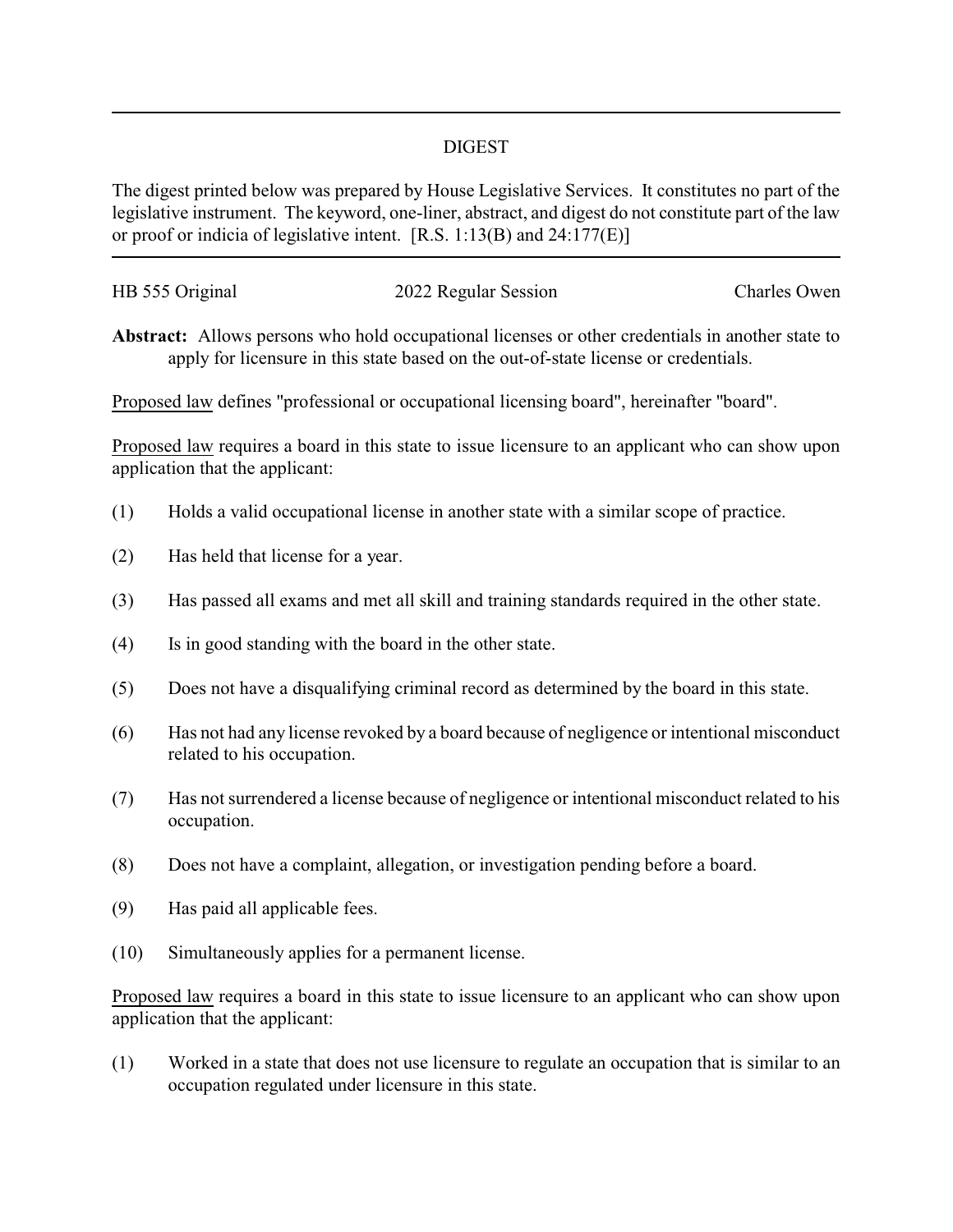## DIGEST

The digest printed below was prepared by House Legislative Services. It constitutes no part of the legislative instrument. The keyword, one-liner, abstract, and digest do not constitute part of the law or proof or indicia of legislative intent. [R.S. 1:13(B) and 24:177(E)]

| HB 555 Original | 2022 Regular Session | Charles Owen |
|-----------------|----------------------|--------------|
|                 |                      |              |

**Abstract:** Allows persons who hold occupational licenses or other credentials in another state to apply for licensure in this state based on the out-of-state license or credentials.

Proposed law defines "professional or occupational licensing board", hereinafter "board".

Proposed law requires a board in this state to issue licensure to an applicant who can show upon application that the applicant:

- (1) Holds a valid occupational license in another state with a similar scope of practice.
- (2) Has held that license for a year.
- (3) Has passed all exams and met all skill and training standards required in the other state.
- (4) Is in good standing with the board in the other state.
- (5) Does not have a disqualifying criminal record as determined by the board in this state.
- (6) Has not had any license revoked by a board because of negligence or intentional misconduct related to his occupation.
- (7) Has not surrendered a license because of negligence or intentional misconduct related to his occupation.
- (8) Does not have a complaint, allegation, or investigation pending before a board.
- (9) Has paid all applicable fees.
- (10) Simultaneously applies for a permanent license.

Proposed law requires a board in this state to issue licensure to an applicant who can show upon application that the applicant:

(1) Worked in a state that does not use licensure to regulate an occupation that is similar to an occupation regulated under licensure in this state.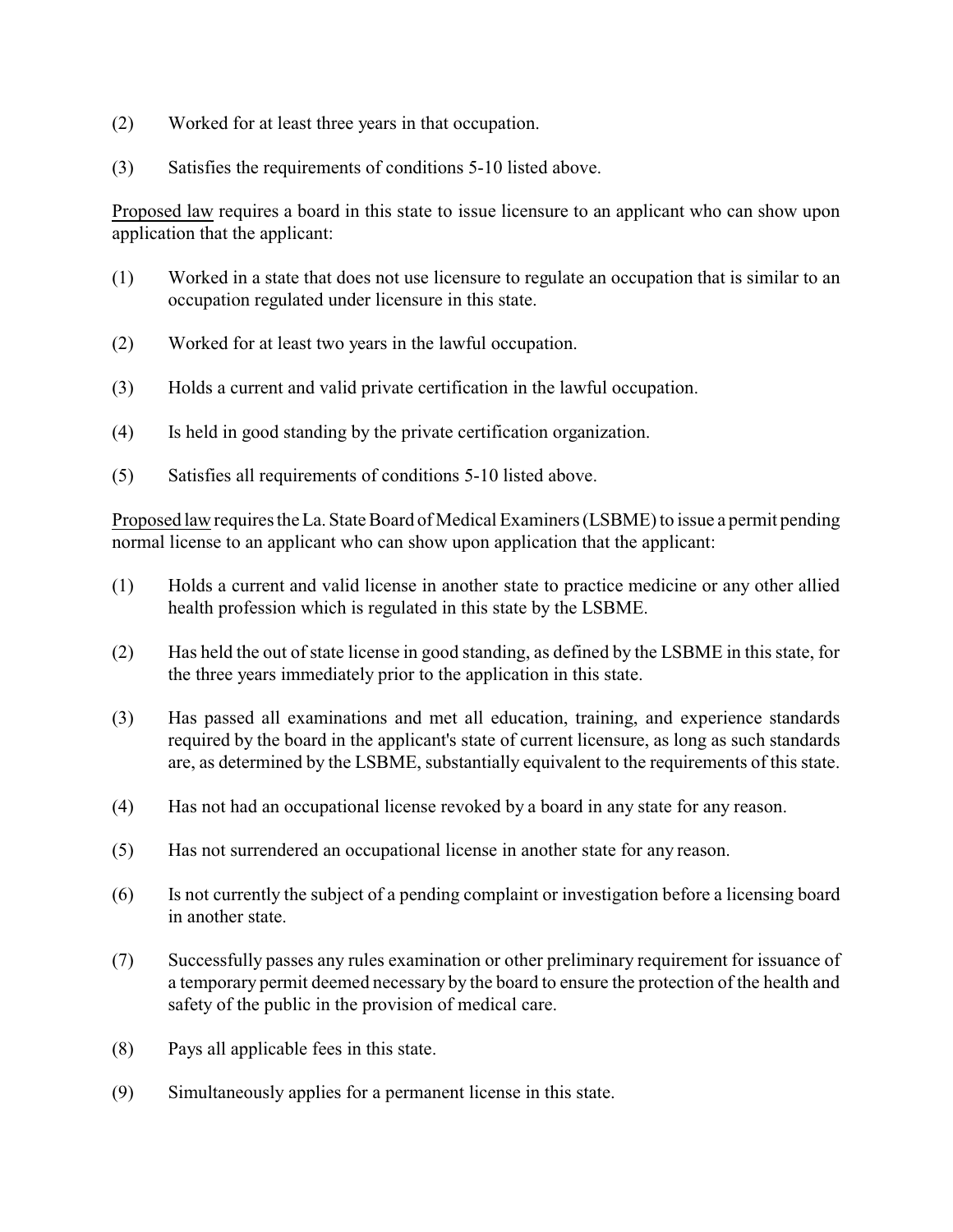- (2) Worked for at least three years in that occupation.
- (3) Satisfies the requirements of conditions 5-10 listed above.

Proposed law requires a board in this state to issue licensure to an applicant who can show upon application that the applicant:

- (1) Worked in a state that does not use licensure to regulate an occupation that is similar to an occupation regulated under licensure in this state.
- (2) Worked for at least two years in the lawful occupation.
- (3) Holds a current and valid private certification in the lawful occupation.
- (4) Is held in good standing by the private certification organization.
- (5) Satisfies all requirements of conditions 5-10 listed above.

Proposed law requires the La. State Board of Medical Examiners (LSBME) to issue a permit pending normal license to an applicant who can show upon application that the applicant:

- (1) Holds a current and valid license in another state to practice medicine or any other allied health profession which is regulated in this state by the LSBME.
- (2) Has held the out of state license in good standing, as defined by the LSBME in this state, for the three years immediately prior to the application in this state.
- (3) Has passed all examinations and met all education, training, and experience standards required by the board in the applicant's state of current licensure, as long as such standards are, as determined by the LSBME, substantially equivalent to the requirements of this state.
- (4) Has not had an occupational license revoked by a board in any state for any reason.
- (5) Has not surrendered an occupational license in another state for any reason.
- (6) Is not currently the subject of a pending complaint or investigation before a licensing board in another state.
- (7) Successfully passes any rules examination or other preliminary requirement for issuance of a temporary permit deemed necessary by the board to ensure the protection of the health and safety of the public in the provision of medical care.
- (8) Pays all applicable fees in this state.
- (9) Simultaneously applies for a permanent license in this state.